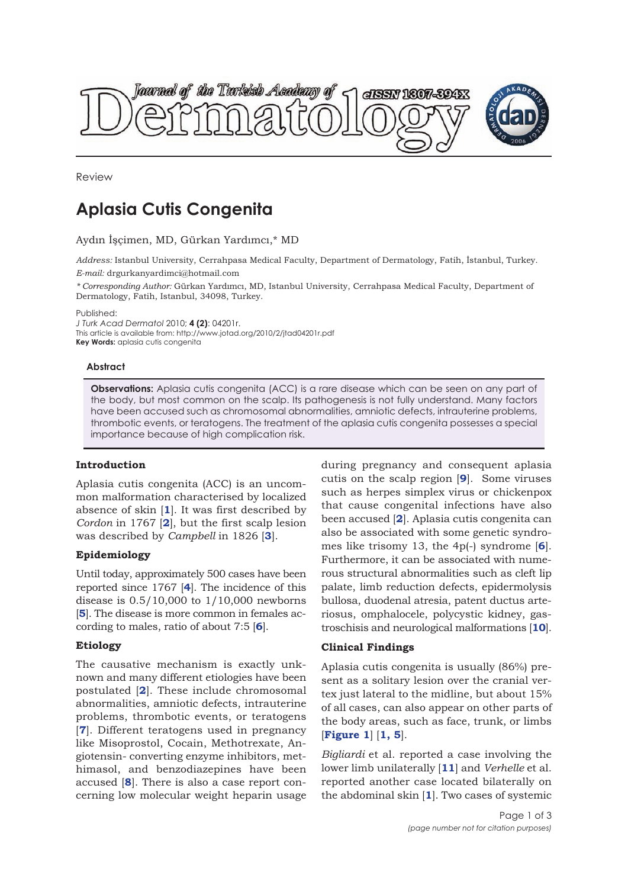



Review

# **Aplasia Cutis Congenita**

#### Aydın İşçimen, MD, Gürkan Yardımcı,\* MD

*Address:* Istanbul University, Cerrahpasa Medical Faculty, Department of Dermatology, Fatih, İstanbul, Turkey. *E-mail:* drgurkanyardimci@hotmail.com

*\* Corresponding Author:* Gürkan Yardımcı, MD, Istanbul University, Cerrahpasa Medical Faculty, Department of Dermatology, Fatih, Istanbul, 34098, Turkey.

Published:

*J Turk Acad Dermatol* 2010; **4 (2)**: 04201r. This article is available from: http://www.jotad.org/2010/2/jtad04201r.pdf **Key Words:** aplasia cutis congenita

#### **Abstract**

**Observations:** Aplasia cutis congenita (ACC) is a rare disease which can be seen on any part of the body, but most common on the scalp. Its pathogenesis is not fully understand. Many factors have been accused such as chromosomal abnormalities, amniotic defects, intrauterine problems, thrombotic events, or teratogens. The treatment of the aplasia cutis congenita possesses a special importance because of high complication risk.

## **Introduction**

Aplasia cutis congenita (ACC) is an uncommon malformation characterised by localized absence of skin [**1**]. It was first described by *Cordon* in 1767 [**2**], but the first scalp lesion was described by *Campbell* in 1826 [**3**].

## **Epidemiology**

Until today, approximately 500 cases have been reported since 1767 [**4**]. The incidence of this disease is 0.5/10,000 to 1/10,000 newborns [**5**]. The disease is more common in females according to males, ratio of about 7:5 [**6**].

## **Etiology**

The causative mechanism is exactly unknown and many different etiologies have been postulated [**2**]. These include chromosomal abnormalities, amniotic defects, intrauterine problems, thrombotic events, or teratogens [**7**]. Different teratogens used in pregnancy like Misoprostol, Cocain, Methotrexate, Angiotensin- converting enzyme inhibitors, methimasol, and benzodiazepines have been accused [**8**]. There is also a case report concerning low molecular weight heparin usage

during pregnancy and consequent aplasia cutis on the scalp region [**9**]. Some viruses such as herpes simplex virus or chickenpox that cause congenital infections have also been accused [**2**]. Aplasia cutis congenita can also be associated with some genetic syndromes like trisomy 13, the 4p(-) syndrome [**6**]. Furthermore, it can be associated with numerous structural abnormalities such as cleft lip palate, limb reduction defects, epidermolysis bullosa, duodenal atresia, patent ductus arteriosus, omphalocele, polycystic kidney, gastroschisis and neurological malformations [**10**].

## **Clinical Findings**

Aplasia cutis congenita is usually (86%) present as a solitary lesion over the cranial vertex just lateral to the midline, but about 15% of all cases, can also appear on other parts of the body areas, such as face, trunk, or limbs [**Figure 1**] [**1, 5**].

*Bigliardi* et al. reported a case involving the lower limb unilaterally [**11**] and *Verhelle* et al. reported another case located bilaterally on the abdominal skin [**1**]. Two cases of systemic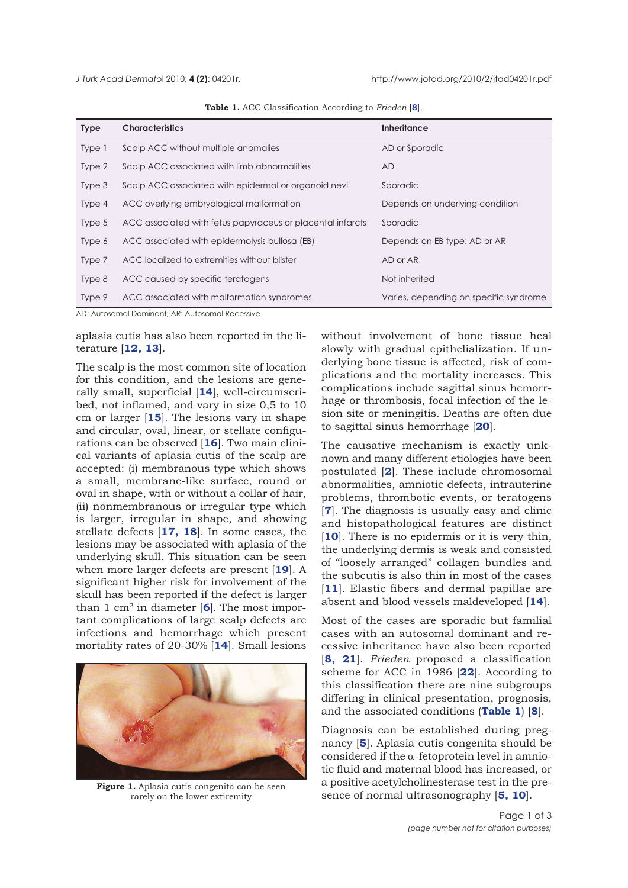| <b>Type</b> | <b>Characteristics</b>                                     | <b>Inheritance</b>                     |
|-------------|------------------------------------------------------------|----------------------------------------|
| Type 1      | Scalp ACC without multiple anomalies                       | AD or Sporadic                         |
| Type 2      | Scalp ACC associated with limb abnormalities               | <b>AD</b>                              |
| Type 3      | Scalp ACC associated with epidermal or organoid nevi       | Sporadic                               |
| Type 4      | ACC overlying embryological malformation                   | Depends on underlying condition        |
| Type 5      | ACC associated with fetus papyraceus or placental infarcts | Sporadic                               |
| Type 6      | ACC associated with epidermolysis bullosa (EB)             | Depends on EB type: AD or AR           |
| Type 7      | ACC localized to extremities without blister               | AD or AR                               |
| Type 8      | ACC caused by specific teratogens                          | Not inherited                          |
| Type 9      | ACC associated with malformation syndromes                 | Varies, depending on specific syndrome |

**Table 1.** ACC Classification According to *Frieden* [**8**].

AD: Autosomal Dominant; AR: Autosomal Recessive

aplasia cutis has also been reported in the literature [**12, 13**].

The scalp is the most common site of location for this condition, and the lesions are generally small, superficial [**14**], well-circumscribed, not inflamed, and vary in size 0,5 to 10 cm or larger [**15**]. The lesions vary in shape and circular, oval, linear, or stellate configurations can be observed [**16**]. Two main clinical variants of aplasia cutis of the scalp are accepted: (i) membranous type which shows a small, membrane-like surface, round or oval in shape, with or without a collar of hair, (ii) nonmembranous or irregular type which is larger, irregular in shape, and showing stellate defects [**17, 18**]. In some cases, the lesions may be associated with aplasia of the underlying skull. This situation can be seen when more larger defects are present [**19**]. A significant higher risk for involvement of the skull has been reported if the defect is larger than 1 cm2 in diameter [**6**]. The most important complications of large scalp defects are infections and hemorrhage which present mortality rates of 20-30% [**14**]. Small lesions



**Figure 1.** Aplasia cutis congenita can be seen rarely on the lower extiremity

without involvement of bone tissue heal slowly with gradual epithelialization. If underlying bone tissue is affected, risk of complications and the mortality increases. This complications include sagittal sinus hemorrhage or thrombosis, focal infection of the lesion site or meningitis. Deaths are often due to sagittal sinus hemorrhage [**20**].

The causative mechanism is exactly unknown and many different etiologies have been postulated [**2**]. These include chromosomal abnormalities, amniotic defects, intrauterine problems, thrombotic events, or teratogens [**7**]. The diagnosis is usually easy and clinic and histopathological features are distinct [10]. There is no epidermis or it is very thin, the underlying dermis is weak and consisted of "loosely arranged" collagen bundles and the subcutis is also thin in most of the cases [**11**]. Elastic fibers and dermal papillae are absent and blood vessels maldeveloped [**14**].

Most of the cases are sporadic but familial cases with an autosomal dominant and recessive inheritance have also been reported [**8, 21**]. *Frieden* proposed a classification scheme for ACC in 1986 [**22**]. According to this classification there are nine subgroups differing in clinical presentation, prognosis, and the associated conditions (**Table 1**) [**8**].

Diagnosis can be established during pregnancy [**5**]. Aplasia cutis congenita should be considered if the  $\alpha$ -fetoprotein level in amniotic fluid and maternal blood has increased, or a positive acetylcholinesterase test in the presence of normal ultrasonography [**5, 10**].